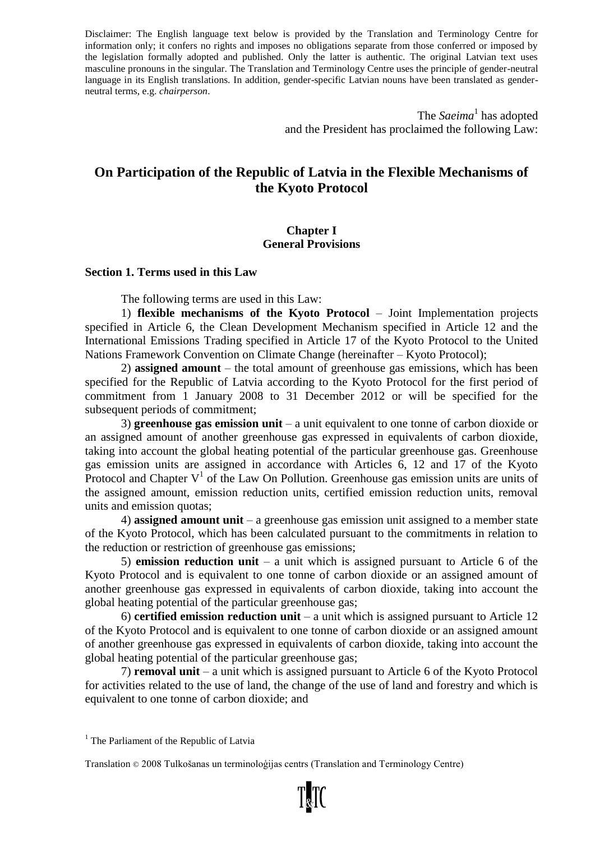Disclaimer: The English language text below is provided by the Translation and Terminology Centre for information only; it confers no rights and imposes no obligations separate from those conferred or imposed by the legislation formally adopted and published. Only the latter is authentic. The original Latvian text uses masculine pronouns in the singular. The Translation and Terminology Centre uses the principle of gender-neutral language in its English translations. In addition, gender-specific Latvian nouns have been translated as genderneutral terms, e.g. *chairperson*.

> The *Saeima*<sup>1</sup> has adopted and the President has proclaimed the following Law:

# **On Participation of the Republic of Latvia in the Flexible Mechanisms of the Kyoto Protocol**

#### **Chapter I General Provisions**

#### **Section 1. Terms used in this Law**

The following terms are used in this Law:

1) **flexible mechanisms of the Kyoto Protocol** – Joint Implementation projects specified in Article 6, the Clean Development Mechanism specified in Article 12 and the International Emissions Trading specified in Article 17 of the Kyoto Protocol to the United Nations Framework Convention on Climate Change (hereinafter – Kyoto Protocol);

2) **assigned amount** – the total amount of greenhouse gas emissions, which has been specified for the Republic of Latvia according to the Kyoto Protocol for the first period of commitment from 1 January 2008 to 31 December 2012 or will be specified for the subsequent periods of commitment;

3) **greenhouse gas emission unit** – a unit equivalent to one tonne of carbon dioxide or an assigned amount of another greenhouse gas expressed in equivalents of carbon dioxide, taking into account the global heating potential of the particular greenhouse gas. Greenhouse gas emission units are assigned in accordance with Articles 6, 12 and 17 of the Kyoto Protocol and Chapter  $V^1$  of the Law On Pollution. Greenhouse gas emission units are units of the assigned amount, emission reduction units, certified emission reduction units, removal units and emission quotas;

4) **assigned amount unit** – a greenhouse gas emission unit assigned to a member state of the Kyoto Protocol, which has been calculated pursuant to the commitments in relation to the reduction or restriction of greenhouse gas emissions;

5) **emission reduction unit** – a unit which is assigned pursuant to Article 6 of the Kyoto Protocol and is equivalent to one tonne of carbon dioxide or an assigned amount of another greenhouse gas expressed in equivalents of carbon dioxide, taking into account the global heating potential of the particular greenhouse gas;

6) **certified emission reduction unit** – a unit which is assigned pursuant to Article 12 of the Kyoto Protocol and is equivalent to one tonne of carbon dioxide or an assigned amount of another greenhouse gas expressed in equivalents of carbon dioxide, taking into account the global heating potential of the particular greenhouse gas;

7) **removal unit** – a unit which is assigned pursuant to Article 6 of the Kyoto Protocol for activities related to the use of land, the change of the use of land and forestry and which is equivalent to one tonne of carbon dioxide; and

 $<sup>1</sup>$  The Parliament of the Republic of Latvia</sup>

Translation © 2008 Tulkošanas un terminoloģijas centrs (Translation and Terminology Centre)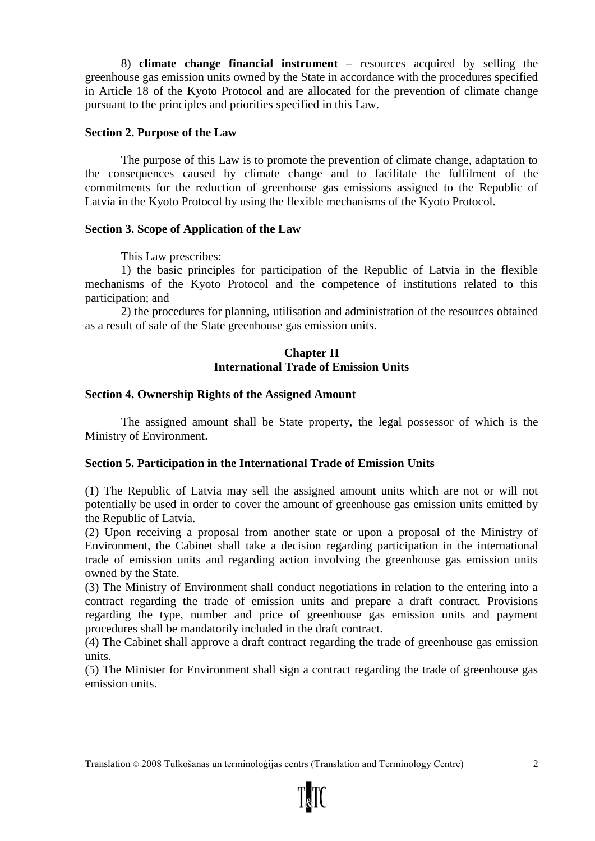8) **climate change financial instrument** – resources acquired by selling the greenhouse gas emission units owned by the State in accordance with the procedures specified in Article 18 of the Kyoto Protocol and are allocated for the prevention of climate change pursuant to the principles and priorities specified in this Law.

#### **Section 2. Purpose of the Law**

The purpose of this Law is to promote the prevention of climate change, adaptation to the consequences caused by climate change and to facilitate the fulfilment of the commitments for the reduction of greenhouse gas emissions assigned to the Republic of Latvia in the Kyoto Protocol by using the flexible mechanisms of the Kyoto Protocol.

# **Section 3. Scope of Application of the Law**

This Law prescribes:

1) the basic principles for participation of the Republic of Latvia in the flexible mechanisms of the Kyoto Protocol and the competence of institutions related to this participation; and

2) the procedures for planning, utilisation and administration of the resources obtained as a result of sale of the State greenhouse gas emission units.

### **Chapter II International Trade of Emission Units**

#### **Section 4. Ownership Rights of the Assigned Amount**

The assigned amount shall be State property, the legal possessor of which is the Ministry of Environment.

# **Section 5. Participation in the International Trade of Emission Units**

(1) The Republic of Latvia may sell the assigned amount units which are not or will not potentially be used in order to cover the amount of greenhouse gas emission units emitted by the Republic of Latvia.

(2) Upon receiving a proposal from another state or upon a proposal of the Ministry of Environment, the Cabinet shall take a decision regarding participation in the international trade of emission units and regarding action involving the greenhouse gas emission units owned by the State.

(3) The Ministry of Environment shall conduct negotiations in relation to the entering into a contract regarding the trade of emission units and prepare a draft contract. Provisions regarding the type, number and price of greenhouse gas emission units and payment procedures shall be mandatorily included in the draft contract.

(4) The Cabinet shall approve a draft contract regarding the trade of greenhouse gas emission units.

(5) The Minister for Environment shall sign a contract regarding the trade of greenhouse gas emission units.

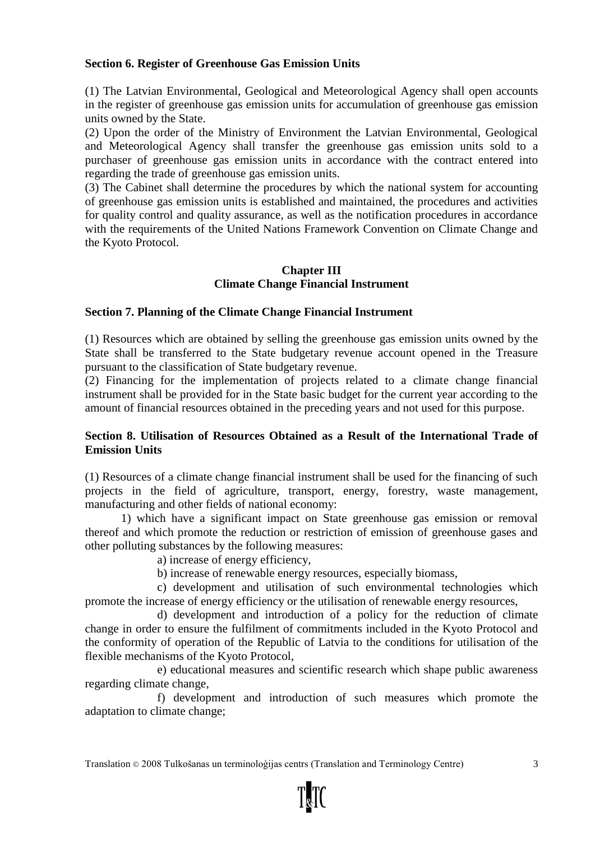### **Section 6. Register of Greenhouse Gas Emission Units**

(1) The Latvian Environmental, Geological and Meteorological Agency shall open accounts in the register of greenhouse gas emission units for accumulation of greenhouse gas emission units owned by the State.

(2) Upon the order of the Ministry of Environment the Latvian Environmental, Geological and Meteorological Agency shall transfer the greenhouse gas emission units sold to a purchaser of greenhouse gas emission units in accordance with the contract entered into regarding the trade of greenhouse gas emission units.

(3) The Cabinet shall determine the procedures by which the national system for accounting of greenhouse gas emission units is established and maintained, the procedures and activities for quality control and quality assurance, as well as the notification procedures in accordance with the requirements of the United Nations Framework Convention on Climate Change and the Kyoto Protocol.

# **Chapter III Climate Change Financial Instrument**

#### **Section 7. Planning of the Climate Change Financial Instrument**

(1) Resources which are obtained by selling the greenhouse gas emission units owned by the State shall be transferred to the State budgetary revenue account opened in the Treasure pursuant to the classification of State budgetary revenue.

(2) Financing for the implementation of projects related to a climate change financial instrument shall be provided for in the State basic budget for the current year according to the amount of financial resources obtained in the preceding years and not used for this purpose.

#### **Section 8. Utilisation of Resources Obtained as a Result of the International Trade of Emission Units**

(1) Resources of a climate change financial instrument shall be used for the financing of such projects in the field of agriculture, transport, energy, forestry, waste management, manufacturing and other fields of national economy:

1) which have a significant impact on State greenhouse gas emission or removal thereof and which promote the reduction or restriction of emission of greenhouse gases and other polluting substances by the following measures:

a) increase of energy efficiency,

b) increase of renewable energy resources, especially biomass,

c) development and utilisation of such environmental technologies which promote the increase of energy efficiency or the utilisation of renewable energy resources,

d) development and introduction of a policy for the reduction of climate change in order to ensure the fulfilment of commitments included in the Kyoto Protocol and the conformity of operation of the Republic of Latvia to the conditions for utilisation of the flexible mechanisms of the Kyoto Protocol,

e) educational measures and scientific research which shape public awareness regarding climate change,

f) development and introduction of such measures which promote the adaptation to climate change;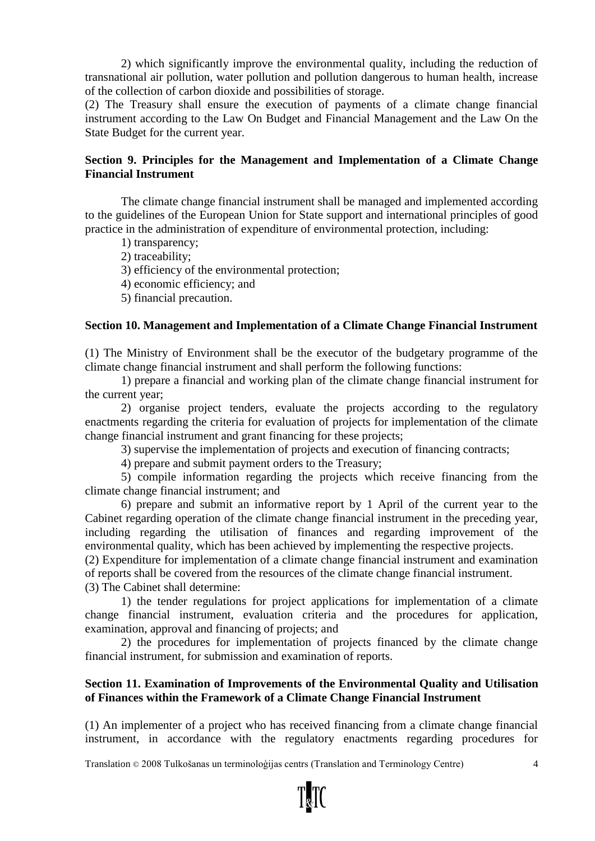2) which significantly improve the environmental quality, including the reduction of transnational air pollution, water pollution and pollution dangerous to human health, increase of the collection of carbon dioxide and possibilities of storage.

(2) The Treasury shall ensure the execution of payments of a climate change financial instrument according to the Law On Budget and Financial Management and the Law On the State Budget for the current year.

# **Section 9. Principles for the Management and Implementation of a Climate Change Financial Instrument**

The climate change financial instrument shall be managed and implemented according to the guidelines of the European Union for State support and international principles of good practice in the administration of expenditure of environmental protection, including:

1) transparency;

2) traceability;

3) efficiency of the environmental protection;

4) economic efficiency; and

5) financial precaution.

#### **Section 10. Management and Implementation of a Climate Change Financial Instrument**

(1) The Ministry of Environment shall be the executor of the budgetary programme of the climate change financial instrument and shall perform the following functions:

1) prepare a financial and working plan of the climate change financial instrument for the current year;

2) organise project tenders, evaluate the projects according to the regulatory enactments regarding the criteria for evaluation of projects for implementation of the climate change financial instrument and grant financing for these projects;

3) supervise the implementation of projects and execution of financing contracts;

4) prepare and submit payment orders to the Treasury;

5) compile information regarding the projects which receive financing from the climate change financial instrument; and

6) prepare and submit an informative report by 1 April of the current year to the Cabinet regarding operation of the climate change financial instrument in the preceding year, including regarding the utilisation of finances and regarding improvement of the environmental quality, which has been achieved by implementing the respective projects.

(2) Expenditure for implementation of a climate change financial instrument and examination of reports shall be covered from the resources of the climate change financial instrument.

(3) The Cabinet shall determine:

1) the tender regulations for project applications for implementation of a climate change financial instrument, evaluation criteria and the procedures for application, examination, approval and financing of projects; and

2) the procedures for implementation of projects financed by the climate change financial instrument, for submission and examination of reports.

#### **Section 11. Examination of Improvements of the Environmental Quality and Utilisation of Finances within the Framework of a Climate Change Financial Instrument**

(1) An implementer of a project who has received financing from a climate change financial instrument, in accordance with the regulatory enactments regarding procedures for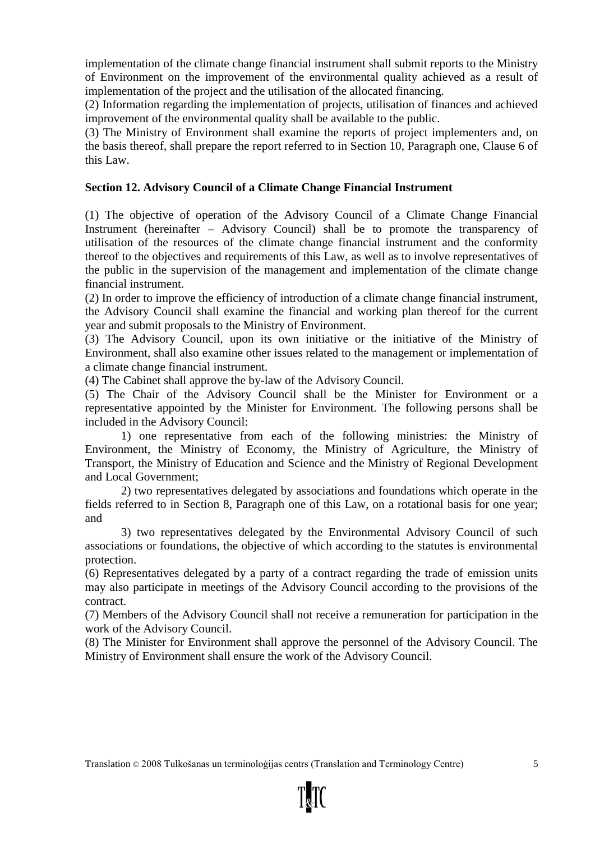implementation of the climate change financial instrument shall submit reports to the Ministry of Environment on the improvement of the environmental quality achieved as a result of implementation of the project and the utilisation of the allocated financing.

(2) Information regarding the implementation of projects, utilisation of finances and achieved improvement of the environmental quality shall be available to the public.

(3) The Ministry of Environment shall examine the reports of project implementers and, on the basis thereof, shall prepare the report referred to in Section 10, Paragraph one, Clause 6 of this Law.

# **Section 12. Advisory Council of a Climate Change Financial Instrument**

(1) The objective of operation of the Advisory Council of a Climate Change Financial Instrument (hereinafter – Advisory Council) shall be to promote the transparency of utilisation of the resources of the climate change financial instrument and the conformity thereof to the objectives and requirements of this Law, as well as to involve representatives of the public in the supervision of the management and implementation of the climate change financial instrument.

(2) In order to improve the efficiency of introduction of a climate change financial instrument, the Advisory Council shall examine the financial and working plan thereof for the current year and submit proposals to the Ministry of Environment.

(3) The Advisory Council, upon its own initiative or the initiative of the Ministry of Environment, shall also examine other issues related to the management or implementation of a climate change financial instrument.

(4) The Cabinet shall approve the by-law of the Advisory Council.

(5) The Chair of the Advisory Council shall be the Minister for Environment or a representative appointed by the Minister for Environment. The following persons shall be included in the Advisory Council:

1) one representative from each of the following ministries: the Ministry of Environment, the Ministry of Economy, the Ministry of Agriculture, the Ministry of Transport, the Ministry of Education and Science and the Ministry of Regional Development and Local Government;

2) two representatives delegated by associations and foundations which operate in the fields referred to in Section 8, Paragraph one of this Law, on a rotational basis for one year; and

3) two representatives delegated by the Environmental Advisory Council of such associations or foundations, the objective of which according to the statutes is environmental protection.

(6) Representatives delegated by a party of a contract regarding the trade of emission units may also participate in meetings of the Advisory Council according to the provisions of the contract.

(7) Members of the Advisory Council shall not receive a remuneration for participation in the work of the Advisory Council.

(8) The Minister for Environment shall approve the personnel of the Advisory Council. The Ministry of Environment shall ensure the work of the Advisory Council.